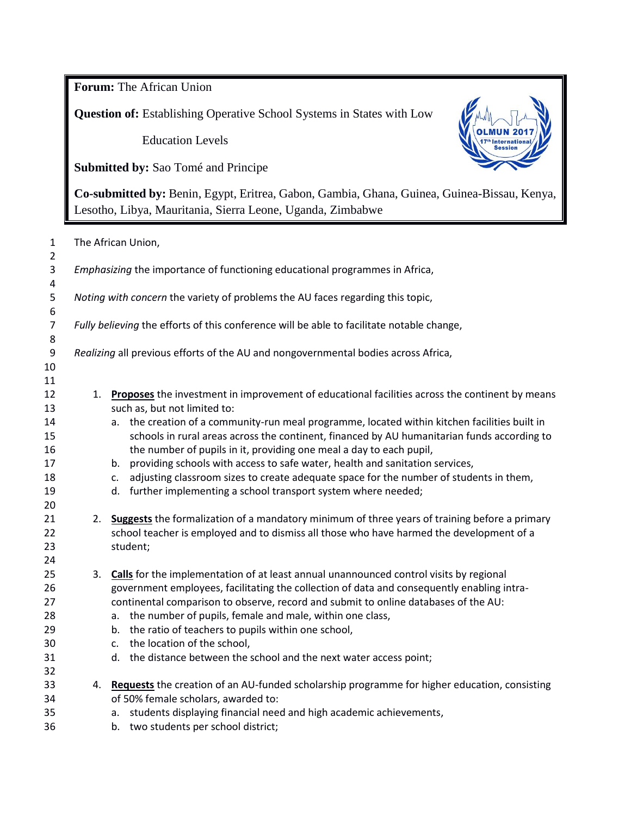**Forum:** The African Union

**Question of:** Establishing Operative School Systems in States with Low

Education Levels

**Submitted by:** Sao Tomé and Principe



**Co-submitted by:** Benin, Egypt, Eritrea, Gabon, Gambia, Ghana, Guinea, Guinea-Bissau, Kenya, Lesotho, Libya, Mauritania, Sierra Leone, Uganda, Zimbabwe

| $\mathbf{1}$<br>$\overline{2}$                                       | The African Union,                                                                        |                                                                                                                                                                                                                                                                                                                                                                                                                                                                                                                                                                                                                                                                                                                                                                                                                                                                            |  |  |
|----------------------------------------------------------------------|-------------------------------------------------------------------------------------------|----------------------------------------------------------------------------------------------------------------------------------------------------------------------------------------------------------------------------------------------------------------------------------------------------------------------------------------------------------------------------------------------------------------------------------------------------------------------------------------------------------------------------------------------------------------------------------------------------------------------------------------------------------------------------------------------------------------------------------------------------------------------------------------------------------------------------------------------------------------------------|--|--|
| 3<br>$\pmb{4}$                                                       | Emphasizing the importance of functioning educational programmes in Africa,               |                                                                                                                                                                                                                                                                                                                                                                                                                                                                                                                                                                                                                                                                                                                                                                                                                                                                            |  |  |
| 5<br>$\boldsymbol{6}$                                                | Noting with concern the variety of problems the AU faces regarding this topic,            |                                                                                                                                                                                                                                                                                                                                                                                                                                                                                                                                                                                                                                                                                                                                                                                                                                                                            |  |  |
| $\overline{7}$<br>8                                                  | Fully believing the efforts of this conference will be able to facilitate notable change, |                                                                                                                                                                                                                                                                                                                                                                                                                                                                                                                                                                                                                                                                                                                                                                                                                                                                            |  |  |
| $\boldsymbol{9}$<br>10<br>11                                         |                                                                                           | Realizing all previous efforts of the AU and nongovernmental bodies across Africa,                                                                                                                                                                                                                                                                                                                                                                                                                                                                                                                                                                                                                                                                                                                                                                                         |  |  |
| 12<br>13<br>14<br>15<br>16<br>17<br>18<br>19<br>20<br>21<br>22<br>23 | 1.<br>2.                                                                                  | Proposes the investment in improvement of educational facilities across the continent by means<br>such as, but not limited to:<br>a. the creation of a community-run meal programme, located within kitchen facilities built in<br>schools in rural areas across the continent, financed by AU humanitarian funds according to<br>the number of pupils in it, providing one meal a day to each pupil,<br>providing schools with access to safe water, health and sanitation services,<br>b.<br>adjusting classroom sizes to create adequate space for the number of students in them,<br>c.<br>further implementing a school transport system where needed;<br>d.<br>Suggests the formalization of a mandatory minimum of three years of training before a primary<br>school teacher is employed and to dismiss all those who have harmed the development of a<br>student; |  |  |
| 24<br>25<br>26<br>27<br>28<br>29<br>30<br>31<br>32<br>33<br>34       | 3.                                                                                        | Calls for the implementation of at least annual unannounced control visits by regional<br>government employees, facilitating the collection of data and consequently enabling intra-<br>continental comparison to observe, record and submit to online databases of the AU:<br>the number of pupils, female and male, within one class,<br>a.<br>the ratio of teachers to pupils within one school,<br>b.<br>the location of the school,<br>c.<br>d. the distance between the school and the next water access point;<br>4. Requests the creation of an AU-funded scholarship programme for higher education, consisting<br>of 50% female scholars, awarded to:                                                                                                                                                                                                            |  |  |
| 35<br>36                                                             |                                                                                           | students displaying financial need and high academic achievements,<br>a.<br>b. two students per school district;                                                                                                                                                                                                                                                                                                                                                                                                                                                                                                                                                                                                                                                                                                                                                           |  |  |